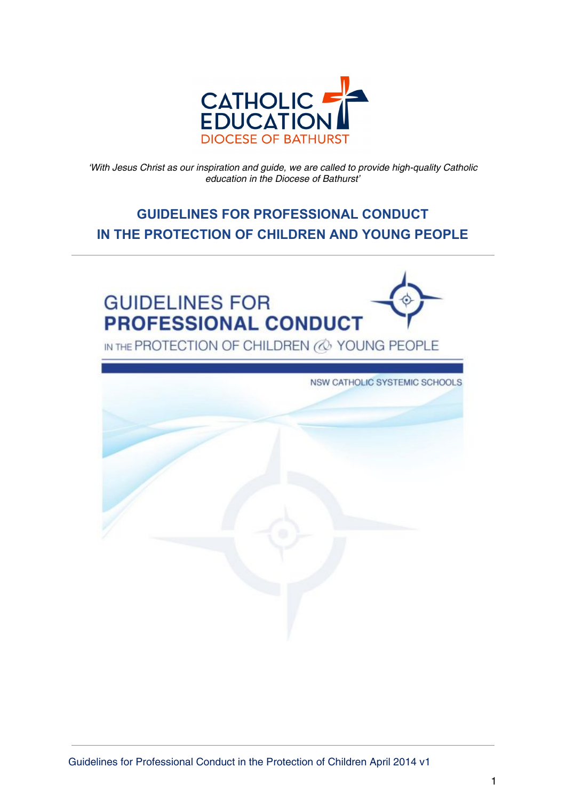

'With Jesus Christ as our inspiration and guide, we are called to provide high-quality Catholic education in the Diocese of Bathurst'

# **GUIDELINES FOR PROFESSIONAL CONDUCT IN THE PROTECTION OF CHILDREN AND YOUNG PEOPLE**



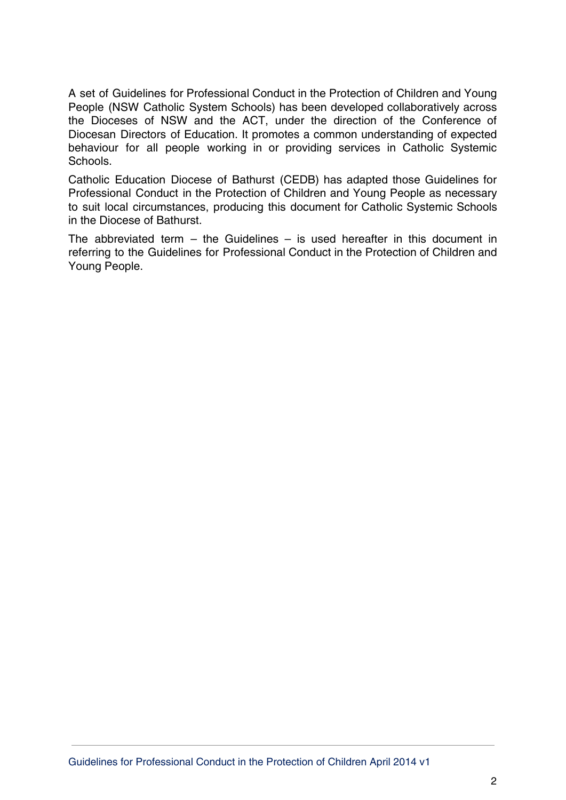A set of Guidelines for Professional Conduct in the Protection of Children and Young People (NSW Catholic System Schools) has been developed collaboratively across the Dioceses of NSW and the ACT, under the direction of the Conference of Diocesan Directors of Education. It promotes a common understanding of expected behaviour for all people working in or providing services in Catholic Systemic Schools.

Catholic Education Diocese of Bathurst (CEDB) has adapted those Guidelines for Professional Conduct in the Protection of Children and Young People as necessary to suit local circumstances, producing this document for Catholic Systemic Schools in the Diocese of Bathurst.

The abbreviated term  $-$  the Guidelines  $-$  is used hereafter in this document in referring to the Guidelines for Professional Conduct in the Protection of Children and Young People.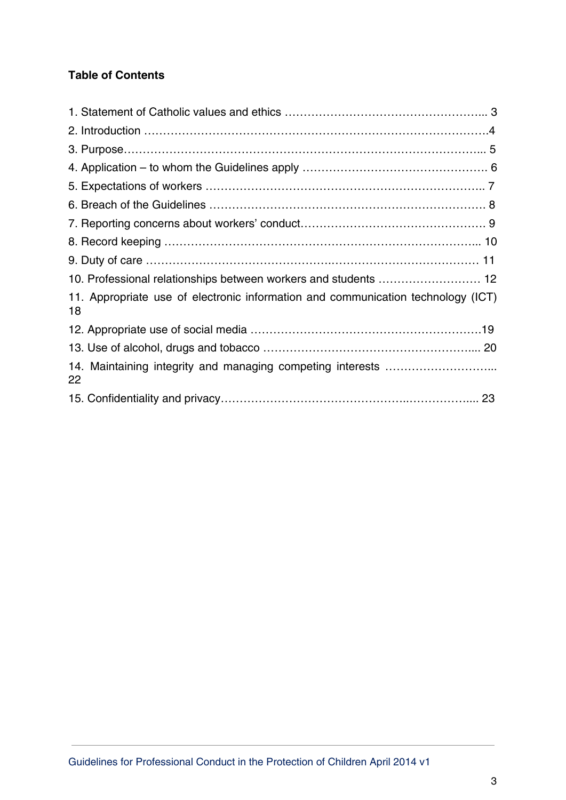## **Table of Contents**

| 10. Professional relationships between workers and students  12                        |  |
|----------------------------------------------------------------------------------------|--|
| 11. Appropriate use of electronic information and communication technology (ICT)<br>18 |  |
|                                                                                        |  |
|                                                                                        |  |
| 22                                                                                     |  |
|                                                                                        |  |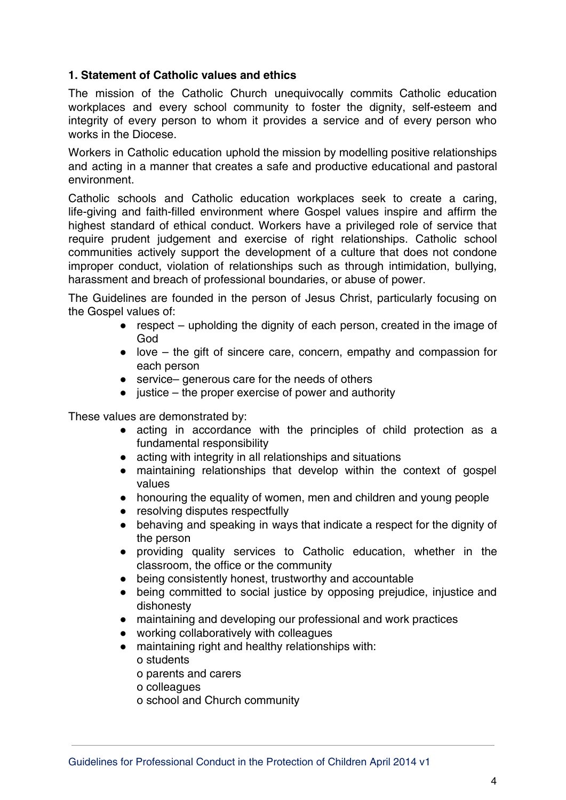## **1. Statement of Catholic values and ethics**

The mission of the Catholic Church unequivocally commits Catholic education workplaces and every school community to foster the dignity, self-esteem and integrity of every person to whom it provides a service and of every person who works in the Diocese.

Workers in Catholic education uphold the mission by modelling positive relationships and acting in a manner that creates a safe and productive educational and pastoral environment.

Catholic schools and Catholic education workplaces seek to create a caring, life-giving and faith-filled environment where Gospel values inspire and affirm the highest standard of ethical conduct. Workers have a privileged role of service that require prudent judgement and exercise of right relationships. Catholic school communities actively support the development of a culture that does not condone improper conduct, violation of relationships such as through intimidation, bullying, harassment and breach of professional boundaries, or abuse of power.

The Guidelines are founded in the person of Jesus Christ, particularly focusing on the Gospel values of:

- respect upholding the dignity of each person, created in the image of God
- $\bullet$  love the gift of sincere care, concern, empathy and compassion for each person
- service– generous care for the needs of others
- $\bullet$  justice the proper exercise of power and authority

These values are demonstrated by:

- acting in accordance with the principles of child protection as a fundamental responsibility
- acting with integrity in all relationships and situations
- maintaining relationships that develop within the context of gospel values
- honouring the equality of women, men and children and young people
- resolving disputes respectfully
- behaving and speaking in ways that indicate a respect for the dignity of the person
- providing quality services to Catholic education, whether in the classroom, the office or the community
- being consistently honest, trustworthy and accountable
- being committed to social justice by opposing prejudice, injustice and dishonesty
- maintaining and developing our professional and work practices
- working collaboratively with colleagues
- maintaining right and healthy relationships with: o students

o parents and carers

- o colleagues
- o school and Church community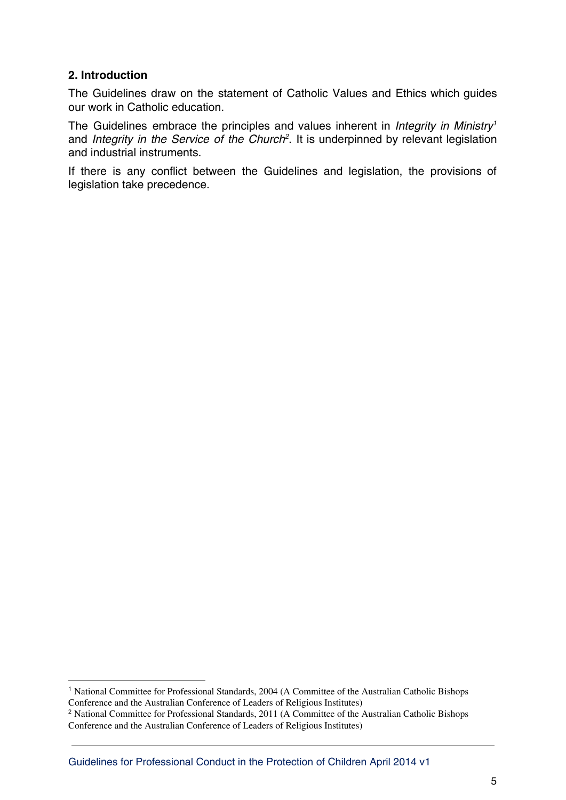### **2. Introduction**

The Guidelines draw on the statement of Catholic Values and Ethics which guides our work in Catholic education.

The Guidelines embrace the principles and values inherent in *Integrity in Ministry<sup>1</sup>* and Integrity in the Service of the Church<sup>2</sup>. It is underpinned by relevant legislation and industrial instruments.

If there is any conflict between the Guidelines and legislation, the provisions of legislation take precedence.

<sup>1</sup> National Committee for Professional Standards, 2004 (A Committee of the Australian Catholic Bishops Conference and the Australian Conference of Leaders of Religious Institutes)

<sup>&</sup>lt;sup>2</sup> National Committee for Professional Standards, 2011 (A Committee of the Australian Catholic Bishops Conference and the Australian Conference of Leaders of Religious Institutes)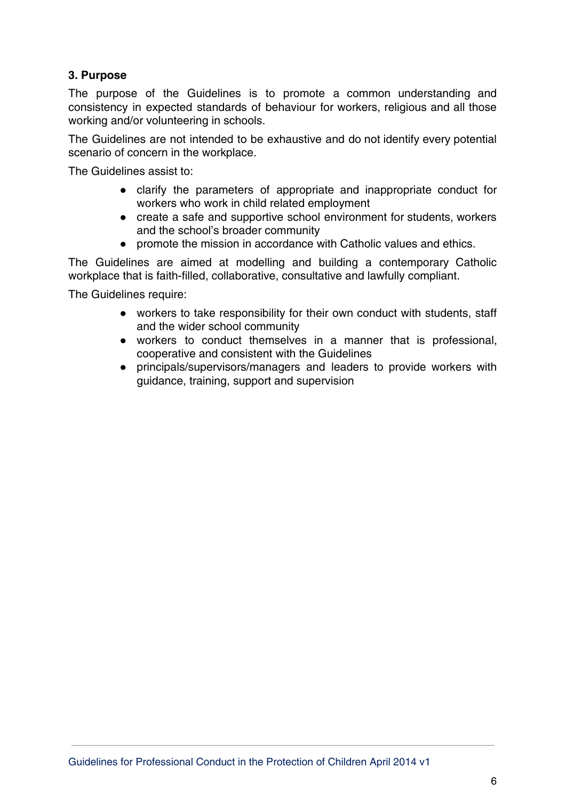## **3. Purpose**

The purpose of the Guidelines is to promote a common understanding and consistency in expected standards of behaviour for workers, religious and all those working and/or volunteering in schools.

The Guidelines are not intended to be exhaustive and do not identify every potential scenario of concern in the workplace.

The Guidelines assist to:

- clarify the parameters of appropriate and inappropriate conduct for workers who work in child related employment
- create a safe and supportive school environment for students, workers and the school's broader community
- promote the mission in accordance with Catholic values and ethics.

The Guidelines are aimed at modelling and building a contemporary Catholic workplace that is faith-filled, collaborative, consultative and lawfully compliant.

The Guidelines require:

- workers to take responsibility for their own conduct with students, staff and the wider school community
- workers to conduct themselves in a manner that is professional, cooperative and consistent with the Guidelines
- principals/supervisors/managers and leaders to provide workers with guidance, training, support and supervision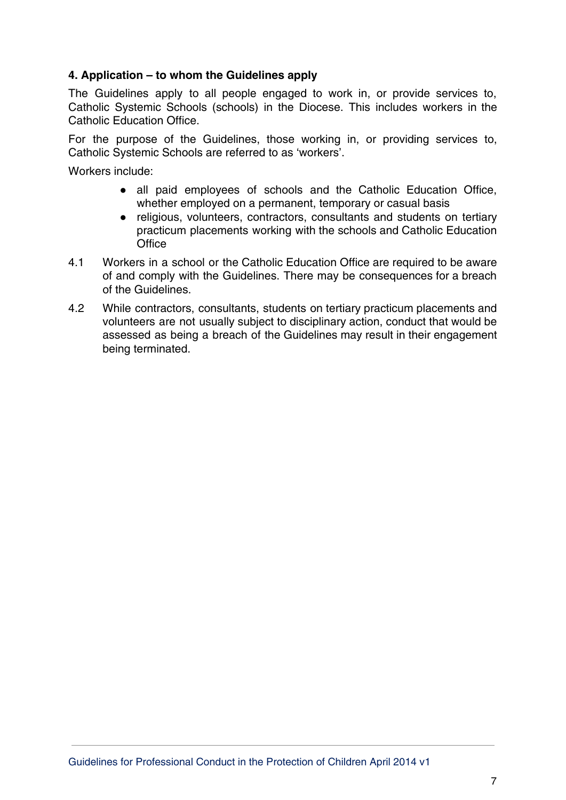## **4. Application – to whom the Guidelines apply**

The Guidelines apply to all people engaged to work in, or provide services to, Catholic Systemic Schools (schools) in the Diocese. This includes workers in the Catholic Education Office.

For the purpose of the Guidelines, those working in, or providing services to, Catholic Systemic Schools are referred to as 'workers'.

Workers include:

- all paid employees of schools and the Catholic Education Office, whether employed on a permanent, temporary or casual basis
- religious, volunteers, contractors, consultants and students on tertiary practicum placements working with the schools and Catholic Education **Office**
- 4.1 Workers in a school or the Catholic Education Office are required to be aware of and comply with the Guidelines. There may be consequences for a breach of the Guidelines.
- 4.2 While contractors, consultants, students on tertiary practicum placements and volunteers are not usually subject to disciplinary action, conduct that would be assessed as being a breach of the Guidelines may result in their engagement being terminated.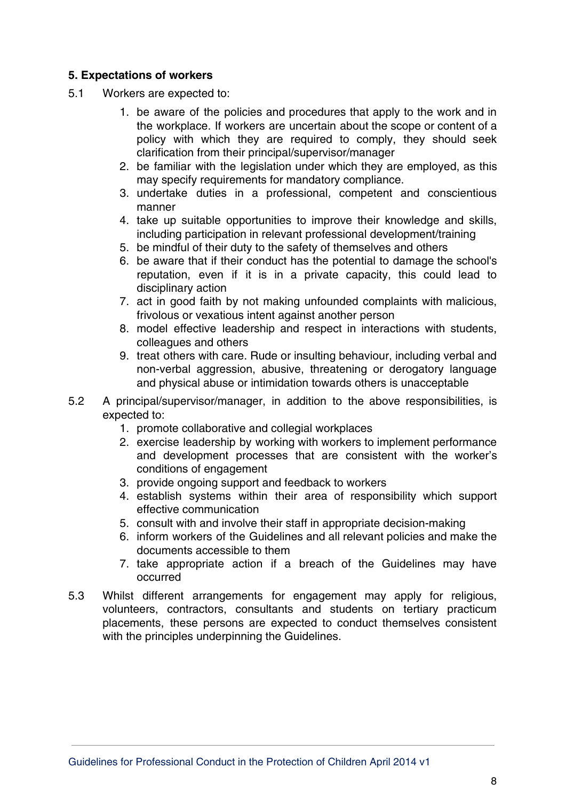#### **5. Expectations of workers**

- 5.1 Workers are expected to:
	- 1. be aware of the policies and procedures that apply to the work and in the workplace. If workers are uncertain about the scope or content of a policy with which they are required to comply, they should seek clarification from their principal/supervisor/manager
	- 2. be familiar with the legislation under which they are employed, as this may specify requirements for mandatory compliance.
	- 3. undertake duties in a professional, competent and conscientious manner
	- 4. take up suitable opportunities to improve their knowledge and skills, including participation in relevant professional development/training
	- 5. be mindful of their duty to the safety of themselves and others
	- 6. be aware that if their conduct has the potential to damage the school's reputation, even if it is in a private capacity, this could lead to disciplinary action
	- 7. act in good faith by not making unfounded complaints with malicious, frivolous or vexatious intent against another person
	- 8. model effective leadership and respect in interactions with students, colleagues and others
	- 9. treat others with care. Rude or insulting behaviour, including verbal and non-verbal aggression, abusive, threatening or derogatory language and physical abuse or intimidation towards others is unacceptable
- 5.2 A principal/supervisor/manager, in addition to the above responsibilities, is expected to:
	- 1. promote collaborative and collegial workplaces
	- 2. exercise leadership by working with workers to implement performance and development processes that are consistent with the worker's conditions of engagement
	- 3. provide ongoing support and feedback to workers
	- 4. establish systems within their area of responsibility which support effective communication
	- 5. consult with and involve their staff in appropriate decision-making
	- 6. inform workers of the Guidelines and all relevant policies and make the documents accessible to them
	- 7. take appropriate action if a breach of the Guidelines may have occurred
- 5.3 Whilst different arrangements for engagement may apply for religious, volunteers, contractors, consultants and students on tertiary practicum placements, these persons are expected to conduct themselves consistent with the principles underpinning the Guidelines.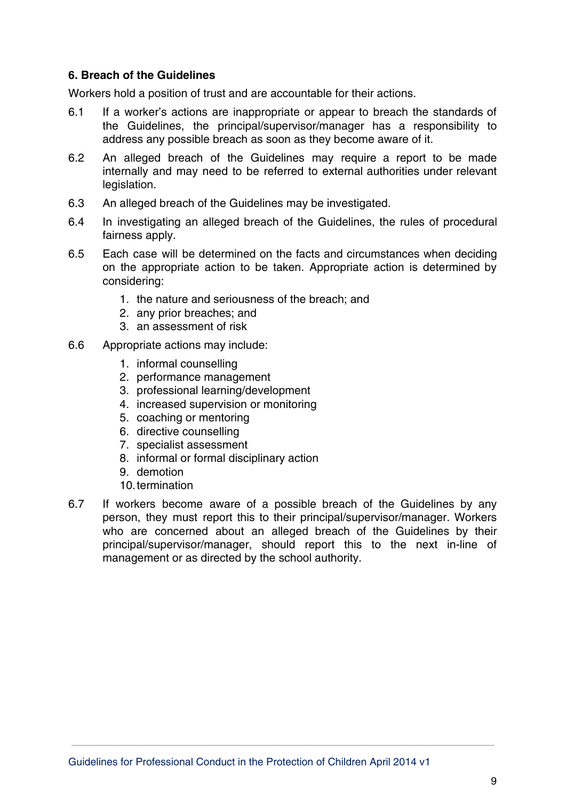#### **6. Breach of the Guidelines**

Workers hold a position of trust and are accountable for their actions.

- 6.1 If a worker's actions are inappropriate or appear to breach the standards of the Guidelines, the principal/supervisor/manager has a responsibility to address any possible breach as soon as they become aware of it.
- 6.2 An alleged breach of the Guidelines may require a report to be made internally and may need to be referred to external authorities under relevant legislation.
- 6.3 An alleged breach of the Guidelines may be investigated.
- 6.4 In investigating an alleged breach of the Guidelines, the rules of procedural fairness apply.
- 6.5 Each case will be determined on the facts and circumstances when deciding on the appropriate action to be taken. Appropriate action is determined by considering:
	- 1. the nature and seriousness of the breach; and
	- 2. any prior breaches; and
	- 3. an assessment of risk
- 6.6 Appropriate actions may include:
	- 1. informal counselling
	- 2. performance management
	- 3. professional learning/development
	- 4. increased supervision or monitoring
	- 5. coaching or mentoring
	- 6. directive counselling
	- 7. specialist assessment
	- 8. informal or formal disciplinary action
	- 9. demotion
	- 10.termination
- 6.7 If workers become aware of a possible breach of the Guidelines by any person, they must report this to their principal/supervisor/manager. Workers who are concerned about an alleged breach of the Guidelines by their principal/supervisor/manager, should report this to the next in-line of management or as directed by the school authority.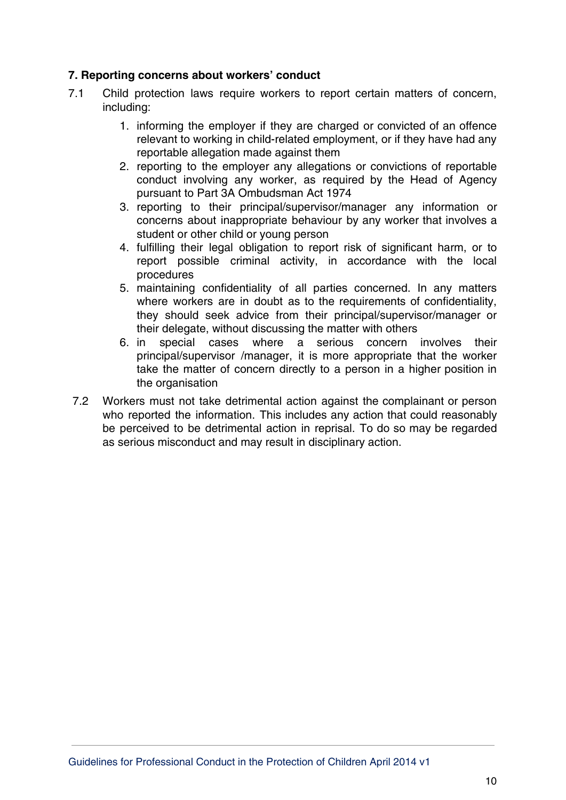## **7. Reporting concerns about workers' conduct**

- 7.1 Child protection laws require workers to report certain matters of concern, including:
	- 1. informing the employer if they are charged or convicted of an offence relevant to working in child-related employment, or if they have had any reportable allegation made against them
	- 2. reporting to the employer any allegations or convictions of reportable conduct involving any worker, as required by the Head of Agency pursuant to Part 3A Ombudsman Act 1974
	- 3. reporting to their principal/supervisor/manager any information or concerns about inappropriate behaviour by any worker that involves a student or other child or young person
	- 4. fulfilling their legal obligation to report risk of significant harm, or to report possible criminal activity, in accordance with the local procedures
	- 5. maintaining confidentiality of all parties concerned. In any matters where workers are in doubt as to the requirements of confidentiality, they should seek advice from their principal/supervisor/manager or their delegate, without discussing the matter with others
	- 6. in special cases where a serious concern involves their principal/supervisor /manager, it is more appropriate that the worker take the matter of concern directly to a person in a higher position in the organisation
- 7.2 Workers must not take detrimental action against the complainant or person who reported the information. This includes any action that could reasonably be perceived to be detrimental action in reprisal. To do so may be regarded as serious misconduct and may result in disciplinary action.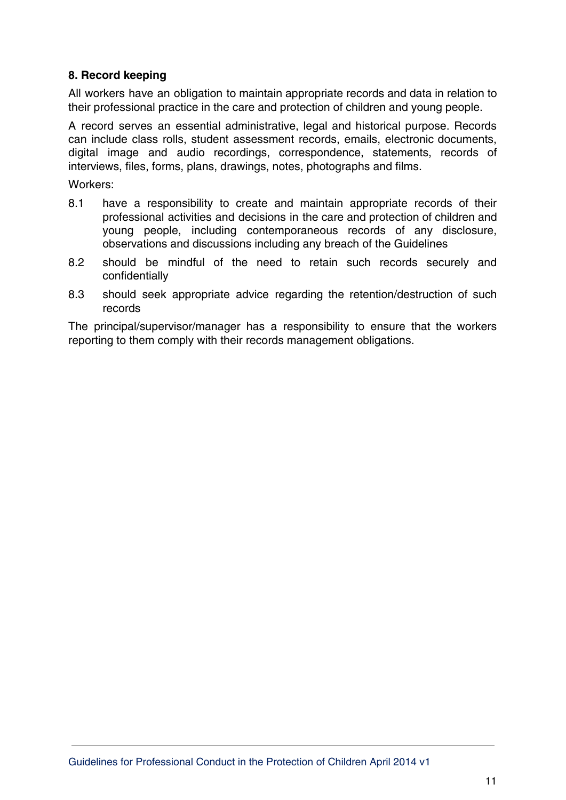## **8. Record keeping**

All workers have an obligation to maintain appropriate records and data in relation to their professional practice in the care and protection of children and young people.

A record serves an essential administrative, legal and historical purpose. Records can include class rolls, student assessment records, emails, electronic documents, digital image and audio recordings, correspondence, statements, records of interviews, files, forms, plans, drawings, notes, photographs and films.

Workers:

- 8.1 have a responsibility to create and maintain appropriate records of their professional activities and decisions in the care and protection of children and young people, including contemporaneous records of any disclosure, observations and discussions including any breach of the Guidelines
- 8.2 should be mindful of the need to retain such records securely and confidentially
- 8.3 should seek appropriate advice regarding the retention/destruction of such records

The principal/supervisor/manager has a responsibility to ensure that the workers reporting to them comply with their records management obligations.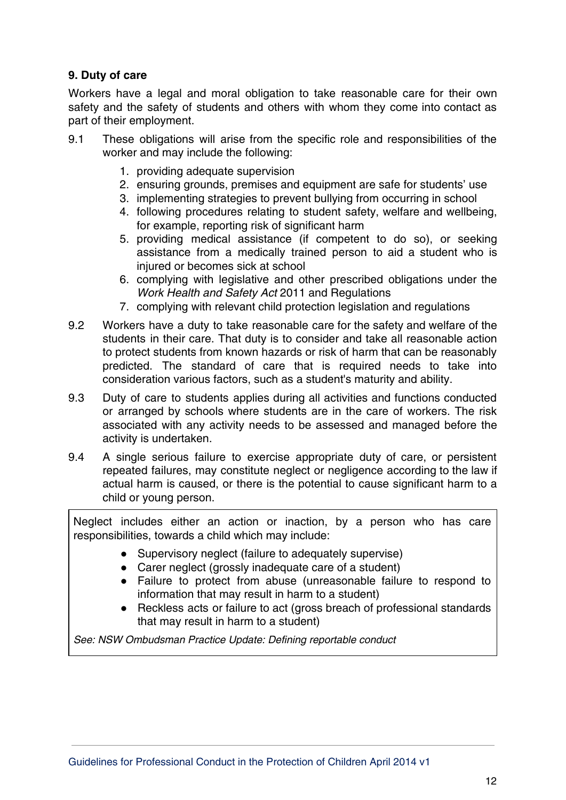## **9. Duty of care**

Workers have a legal and moral obligation to take reasonable care for their own safety and the safety of students and others with whom they come into contact as part of their employment.

- 9.1 These obligations will arise from the specific role and responsibilities of the worker and may include the following:
	- 1. providing adequate supervision
	- 2. ensuring grounds, premises and equipment are safe for students' use
	- 3. implementing strategies to prevent bullying from occurring in school
	- 4. following procedures relating to student safety, welfare and wellbeing, for example, reporting risk of significant harm
	- 5. providing medical assistance (if competent to do so), or seeking assistance from a medically trained person to aid a student who is injured or becomes sick at school
	- 6. complying with legislative and other prescribed obligations under the Work Health and Safety Act 2011 and Regulations
	- 7. complying with relevant child protection legislation and regulations
- 9.2 Workers have a duty to take reasonable care for the safety and welfare of the students in their care. That duty is to consider and take all reasonable action to protect students from known hazards or risk of harm that can be reasonably predicted. The standard of care that is required needs to take into consideration various factors, such as a student's maturity and ability.
- 9.3 Duty of care to students applies during all activities and functions conducted or arranged by schools where students are in the care of workers. The risk associated with any activity needs to be assessed and managed before the activity is undertaken.
- 9.4 A single serious failure to exercise appropriate duty of care, or persistent repeated failures, may constitute neglect or negligence according to the law if actual harm is caused, or there is the potential to cause significant harm to a child or young person.

Neglect includes either an action or inaction, by a person who has care responsibilities, towards a child which may include:

- Supervisory neglect (failure to adequately supervise)
- Carer neglect (grossly inadequate care of a student)
- Failure to protect from abuse (unreasonable failure to respond to information that may result in harm to a student)
- Reckless acts or failure to act (gross breach of professional standards that may result in harm to a student)

See: NSW Ombudsman Practice Update: Defining reportable conduct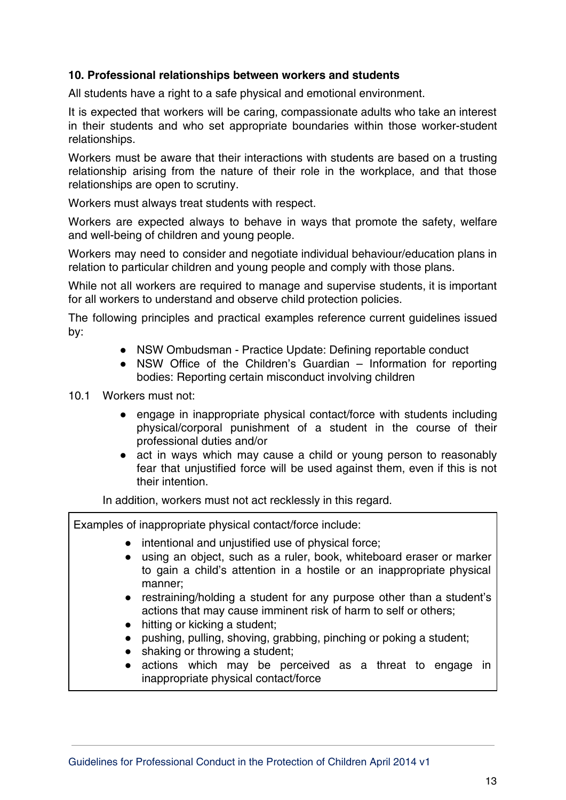## **10. Professional relationships between workers and students**

All students have a right to a safe physical and emotional environment.

It is expected that workers will be caring, compassionate adults who take an interest in their students and who set appropriate boundaries within those worker-student relationships.

Workers must be aware that their interactions with students are based on a trusting relationship arising from the nature of their role in the workplace, and that those relationships are open to scrutiny.

Workers must always treat students with respect.

Workers are expected always to behave in ways that promote the safety, welfare and well-being of children and young people.

Workers may need to consider and negotiate individual behaviour/education plans in relation to particular children and young people and comply with those plans.

While not all workers are required to manage and supervise students, it is important for all workers to understand and observe child protection policies.

The following principles and practical examples reference current guidelines issued by:

- NSW Ombudsman Practice Update: Defining reportable conduct
- NSW Office of the Children's Guardian Information for reporting bodies: Reporting certain misconduct involving children

10.1 Workers must not:

- engage in inappropriate physical contact/force with students including physical/corporal punishment of a student in the course of their professional duties and/or
- act in ways which may cause a child or young person to reasonably fear that unjustified force will be used against them, even if this is not their intention.

In addition, workers must not act recklessly in this regard.

Examples of inappropriate physical contact/force include:

- intentional and unjustified use of physical force;
- using an object, such as a ruler, book, whiteboard eraser or marker to gain a child's attention in a hostile or an inappropriate physical manner;
- restraining/holding a student for any purpose other than a student's actions that may cause imminent risk of harm to self or others;
- hitting or kicking a student;
- pushing, pulling, shoving, grabbing, pinching or poking a student;
- shaking or throwing a student;
- actions which may be perceived as a threat to engage in inappropriate physical contact/force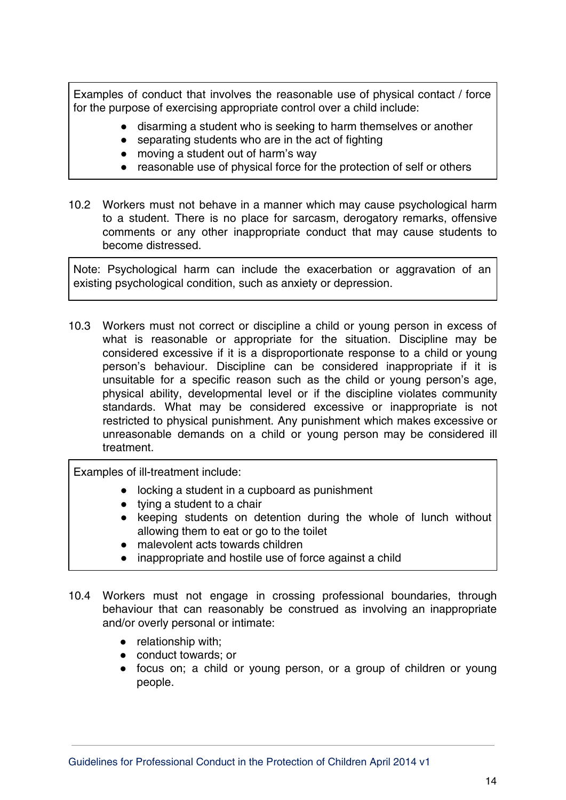Examples of conduct that involves the reasonable use of physical contact / force for the purpose of exercising appropriate control over a child include:

- disarming a student who is seeking to harm themselves or another
- separating students who are in the act of fighting
- moving a student out of harm's way
- reasonable use of physical force for the protection of self or others
- 10.2 Workers must not behave in a manner which may cause psychological harm to a student. There is no place for sarcasm, derogatory remarks, offensive comments or any other inappropriate conduct that may cause students to become distressed.

Note: Psychological harm can include the exacerbation or aggravation of an existing psychological condition, such as anxiety or depression.

10.3 Workers must not correct or discipline a child or young person in excess of what is reasonable or appropriate for the situation. Discipline may be considered excessive if it is a disproportionate response to a child or young person's behaviour. Discipline can be considered inappropriate if it is unsuitable for a specific reason such as the child or young person's age, physical ability, developmental level or if the discipline violates community standards. What may be considered excessive or inappropriate is not restricted to physical punishment. Any punishment which makes excessive or unreasonable demands on a child or young person may be considered ill treatment.

Examples of ill-treatment include:

- locking a student in a cupboard as punishment
- $\bullet$  tying a student to a chair
- keeping students on detention during the whole of lunch without allowing them to eat or go to the toilet
- malevolent acts towards children
- inappropriate and hostile use of force against a child
- 10.4 Workers must not engage in crossing professional boundaries, through behaviour that can reasonably be construed as involving an inappropriate and/or overly personal or intimate:
	- relationship with;
	- conduct towards; or
	- focus on; a child or young person, or a group of children or young people.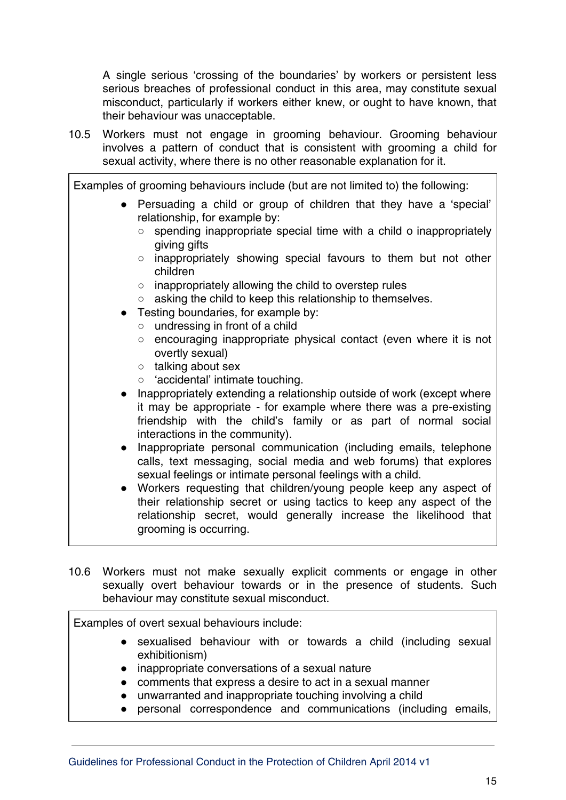A single serious 'crossing of the boundaries' by workers or persistent less serious breaches of professional conduct in this area, may constitute sexual misconduct, particularly if workers either knew, or ought to have known, that their behaviour was unacceptable.

10.5 Workers must not engage in grooming behaviour. Grooming behaviour involves a pattern of conduct that is consistent with grooming a child for sexual activity, where there is no other reasonable explanation for it.

Examples of grooming behaviours include (but are not limited to) the following: ● Persuading a child or group of children that they have a 'special' relationship, for example by: ○ spending inappropriate special time with a child o inappropriately giving gifts ○ inappropriately showing special favours to them but not other children ○ inappropriately allowing the child to overstep rules ○ asking the child to keep this relationship to themselves. ● Testing boundaries, for example by: ○ undressing in front of a child ○ encouraging inappropriate physical contact (even where it is not overtly sexual) ○ talking about sex ○ 'accidental' intimate touching. ● Inappropriately extending a relationship outside of work (except where it may be appropriate - for example where there was a pre-existing friendship with the child's family or as part of normal social interactions in the community). ● Inappropriate personal communication (including emails, telephone calls, text messaging, social media and web forums) that explores sexual feelings or intimate personal feelings with a child.

- Workers requesting that children/young people keep any aspect of their relationship secret or using tactics to keep any aspect of the relationship secret, would generally increase the likelihood that grooming is occurring.
- 10.6 Workers must not make sexually explicit comments or engage in other sexually overt behaviour towards or in the presence of students. Such behaviour may constitute sexual misconduct.

Examples of overt sexual behaviours include:

- sexualised behaviour with or towards a child (including sexual exhibitionism)
- inappropriate conversations of a sexual nature
- comments that express a desire to act in a sexual manner
- unwarranted and inappropriate touching involving a child
- personal correspondence and communications (including emails,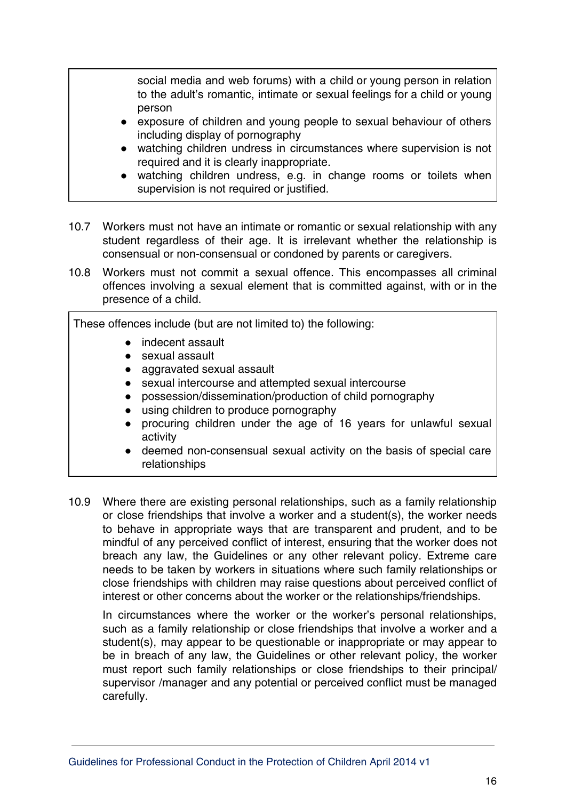social media and web forums) with a child or young person in relation to the adult's romantic, intimate or sexual feelings for a child or young person

- exposure of children and young people to sexual behaviour of others including display of pornography
- watching children undress in circumstances where supervision is not required and it is clearly inappropriate.
- watching children undress, e.g. in change rooms or toilets when supervision is not required or justified.
- 10.7 Workers must not have an intimate or romantic or sexual relationship with any student regardless of their age. It is irrelevant whether the relationship is consensual or non-consensual or condoned by parents or caregivers.
- 10.8 Workers must not commit a sexual offence. This encompasses all criminal offences involving a sexual element that is committed against, with or in the presence of a child.

These offences include (but are not limited to) the following:

- indecent assault
- sexual assault
- aggravated sexual assault
- sexual intercourse and attempted sexual intercourse
- possession/dissemination/production of child pornography
- using children to produce pornography
- procuring children under the age of 16 years for unlawful sexual activity
- deemed non-consensual sexual activity on the basis of special care relationships
- 10.9 Where there are existing personal relationships, such as a family relationship or close friendships that involve a worker and a student(s), the worker needs to behave in appropriate ways that are transparent and prudent, and to be mindful of any perceived conflict of interest, ensuring that the worker does not breach any law, the Guidelines or any other relevant policy. Extreme care needs to be taken by workers in situations where such family relationships or close friendships with children may raise questions about perceived conflict of interest or other concerns about the worker or the relationships/friendships.

In circumstances where the worker or the worker's personal relationships, such as a family relationship or close friendships that involve a worker and a student(s), may appear to be questionable or inappropriate or may appear to be in breach of any law, the Guidelines or other relevant policy, the worker must report such family relationships or close friendships to their principal/ supervisor /manager and any potential or perceived conflict must be managed carefully.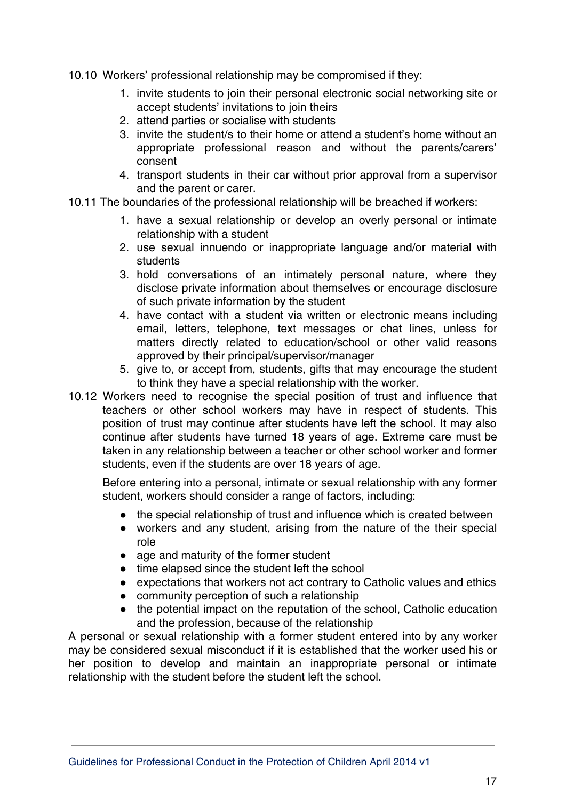- 10.10 Workers' professional relationship may be compromised if they:
	- 1. invite students to join their personal electronic social networking site or accept students' invitations to join theirs
	- 2. attend parties or socialise with students
	- 3. invite the student/s to their home or attend a student's home without an appropriate professional reason and without the parents/carers' consent
	- 4. transport students in their car without prior approval from a supervisor and the parent or carer.
- 10.11 The boundaries of the professional relationship will be breached if workers:
	- 1. have a sexual relationship or develop an overly personal or intimate relationship with a student
	- 2. use sexual innuendo or inappropriate language and/or material with students
	- 3. hold conversations of an intimately personal nature, where they disclose private information about themselves or encourage disclosure of such private information by the student
	- 4. have contact with a student via written or electronic means including email, letters, telephone, text messages or chat lines, unless for matters directly related to education/school or other valid reasons approved by their principal/supervisor/manager
	- 5. give to, or accept from, students, gifts that may encourage the student to think they have a special relationship with the worker.
- 10.12 Workers need to recognise the special position of trust and influence that teachers or other school workers may have in respect of students. This position of trust may continue after students have left the school. It may also continue after students have turned 18 years of age. Extreme care must be taken in any relationship between a teacher or other school worker and former students, even if the students are over 18 years of age.

Before entering into a personal, intimate or sexual relationship with any former student, workers should consider a range of factors, including:

- the special relationship of trust and influence which is created between
- workers and any student, arising from the nature of the their special role
- age and maturity of the former student
- time elapsed since the student left the school
- expectations that workers not act contrary to Catholic values and ethics
- community perception of such a relationship
- the potential impact on the reputation of the school, Catholic education and the profession, because of the relationship

A personal or sexual relationship with a former student entered into by any worker may be considered sexual misconduct if it is established that the worker used his or her position to develop and maintain an inappropriate personal or intimate relationship with the student before the student left the school.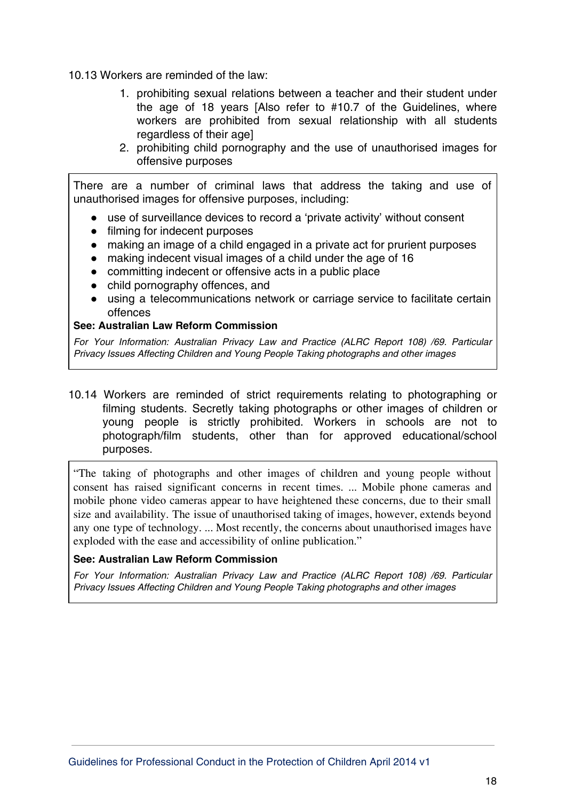10.13 Workers are reminded of the law:

- 1. prohibiting sexual relations between a teacher and their student under the age of 18 years [Also refer to #10.7 of the Guidelines, where workers are prohibited from sexual relationship with all students regardless of their age]
- 2. prohibiting child pornography and the use of unauthorised images for offensive purposes

There are a number of criminal laws that address the taking and use of unauthorised images for offensive purposes, including:

- use of surveillance devices to record a 'private activity' without consent
- filming for indecent purposes
- making an image of a child engaged in a private act for prurient purposes
- making indecent visual images of a child under the age of 16
- committing indecent or offensive acts in a public place
- child pornography offences, and
- using a telecommunications network or carriage service to facilitate certain offences

#### **See: Australian Law Reform Commission**

For Your Information: Australian Privacy Law and Practice (ALRC Report 108) /69. Particular Privacy Issues Affecting Children and Young People Taking photographs and other images

10.14 Workers are reminded of strict requirements relating to photographing or filming students. Secretly taking photographs or other images of children or young people is strictly prohibited. Workers in schools are not to photograph/film students, other than for approved educational/school purposes.

"The taking of photographs and other images of children and young people without consent has raised significant concerns in recent times. ... Mobile phone cameras and mobile phone video cameras appear to have heightened these concerns, due to their small size and availability. The issue of unauthorised taking of images, however, extends beyond any one type of technology. ... Most recently, the concerns about unauthorised images have exploded with the ease and accessibility of online publication."

#### **See: Australian Law Reform Commission**

For Your Information: Australian Privacy Law and Practice (ALRC Report 108) /69. Particular Privacy Issues Affecting Children and Young People Taking photographs and other images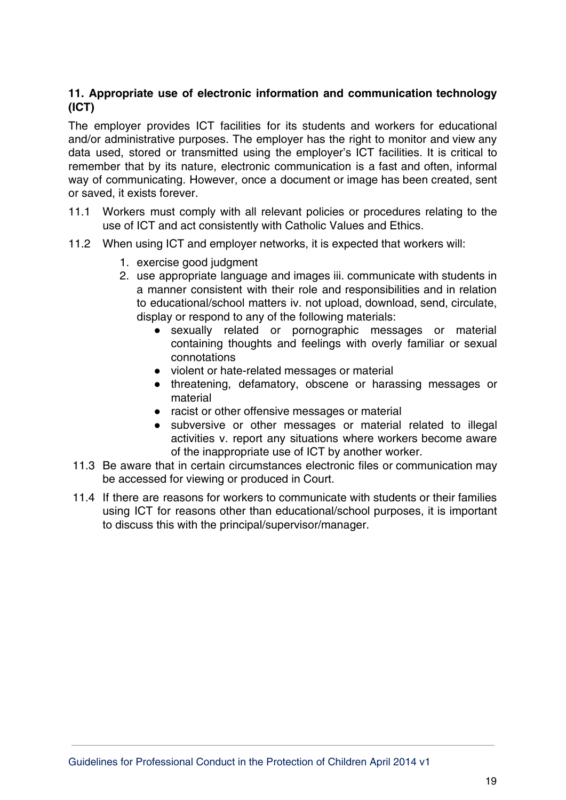## **11. Appropriate use of electronic information and communication technology (ICT)**

The employer provides ICT facilities for its students and workers for educational and/or administrative purposes. The employer has the right to monitor and view any data used, stored or transmitted using the employer's ICT facilities. It is critical to remember that by its nature, electronic communication is a fast and often, informal way of communicating. However, once a document or image has been created, sent or saved, it exists forever.

- 11.1 Workers must comply with all relevant policies or procedures relating to the use of ICT and act consistently with Catholic Values and Ethics.
- 11.2 When using ICT and employer networks, it is expected that workers will:
	- 1. exercise good judgment
	- 2. use appropriate language and images iii. communicate with students in a manner consistent with their role and responsibilities and in relation to educational/school matters iv. not upload, download, send, circulate, display or respond to any of the following materials:
		- sexually related or pornographic messages or material containing thoughts and feelings with overly familiar or sexual connotations
		- violent or hate-related messages or material
		- threatening, defamatory, obscene or harassing messages or material
		- racist or other offensive messages or material
		- subversive or other messages or material related to illegal activities v. report any situations where workers become aware of the inappropriate use of ICT by another worker.
- 11.3 Be aware that in certain circumstances electronic files or communication may be accessed for viewing or produced in Court.
- 11.4 If there are reasons for workers to communicate with students or their families using ICT for reasons other than educational/school purposes, it is important to discuss this with the principal/supervisor/manager.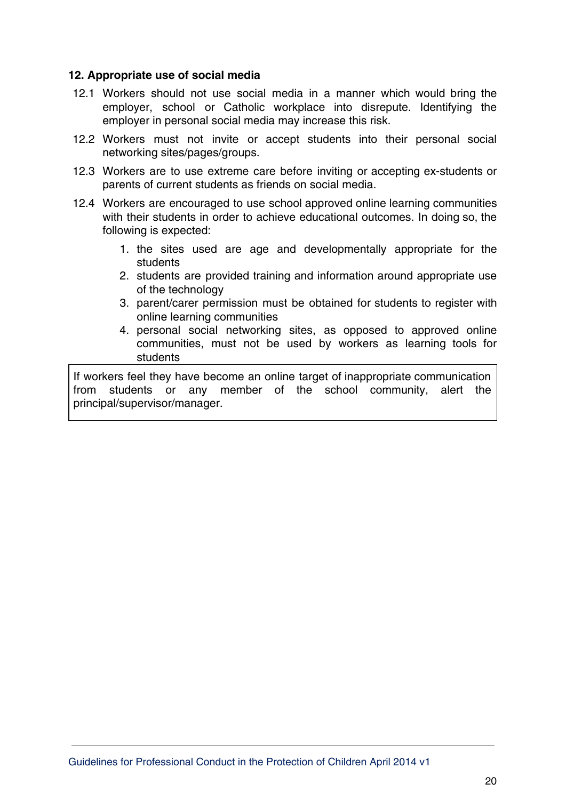#### **12. Appropriate use of social media**

- 12.1 Workers should not use social media in a manner which would bring the employer, school or Catholic workplace into disrepute. Identifying the employer in personal social media may increase this risk.
- 12.2 Workers must not invite or accept students into their personal social networking sites/pages/groups.
- 12.3 Workers are to use extreme care before inviting or accepting ex-students or parents of current students as friends on social media.
- 12.4 Workers are encouraged to use school approved online learning communities with their students in order to achieve educational outcomes. In doing so, the following is expected:
	- 1. the sites used are age and developmentally appropriate for the students
	- 2. students are provided training and information around appropriate use of the technology
	- 3. parent/carer permission must be obtained for students to register with online learning communities
	- 4. personal social networking sites, as opposed to approved online communities, must not be used by workers as learning tools for students

If workers feel they have become an online target of inappropriate communication from students or any member of the school community, alert the principal/supervisor/manager.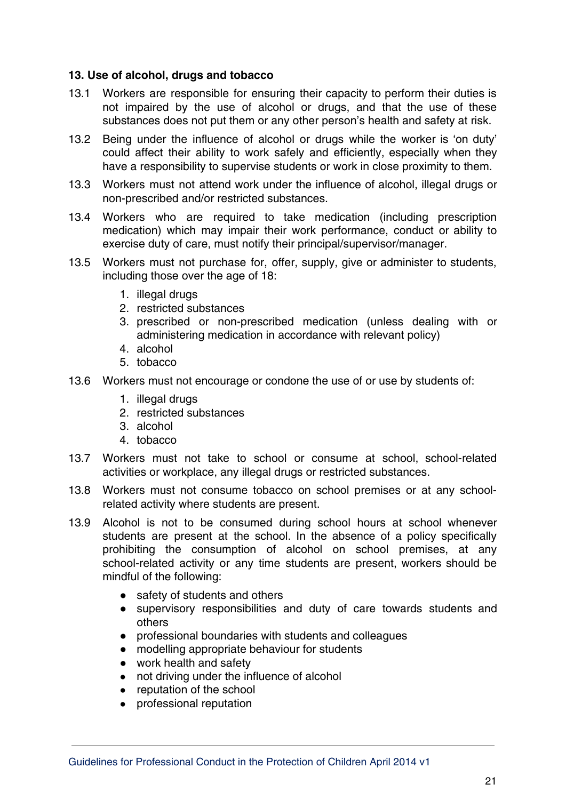#### **13. Use of alcohol, drugs and tobacco**

- 13.1 Workers are responsible for ensuring their capacity to perform their duties is not impaired by the use of alcohol or drugs, and that the use of these substances does not put them or any other person's health and safety at risk.
- 13.2 Being under the influence of alcohol or drugs while the worker is 'on duty' could affect their ability to work safely and efficiently, especially when they have a responsibility to supervise students or work in close proximity to them.
- 13.3 Workers must not attend work under the influence of alcohol, illegal drugs or non-prescribed and/or restricted substances.
- 13.4 Workers who are required to take medication (including prescription medication) which may impair their work performance, conduct or ability to exercise duty of care, must notify their principal/supervisor/manager.
- 13.5 Workers must not purchase for, offer, supply, give or administer to students, including those over the age of 18:
	- 1. illegal drugs
	- 2. restricted substances
	- 3. prescribed or non-prescribed medication (unless dealing with or administering medication in accordance with relevant policy)
	- 4. alcohol
	- 5. tobacco
- 13.6 Workers must not encourage or condone the use of or use by students of:
	- 1. illegal drugs
	- 2. restricted substances
	- 3. alcohol
	- 4. tobacco
- 13.7 Workers must not take to school or consume at school, school-related activities or workplace, any illegal drugs or restricted substances.
- 13.8 Workers must not consume tobacco on school premises or at any schoolrelated activity where students are present.
- 13.9 Alcohol is not to be consumed during school hours at school whenever students are present at the school. In the absence of a policy specifically prohibiting the consumption of alcohol on school premises, at any school-related activity or any time students are present, workers should be mindful of the following:
	- safety of students and others
	- supervisory responsibilities and duty of care towards students and others
	- professional boundaries with students and colleagues
	- modelling appropriate behaviour for students
	- work health and safety
	- not driving under the influence of alcohol
	- reputation of the school
	- professional reputation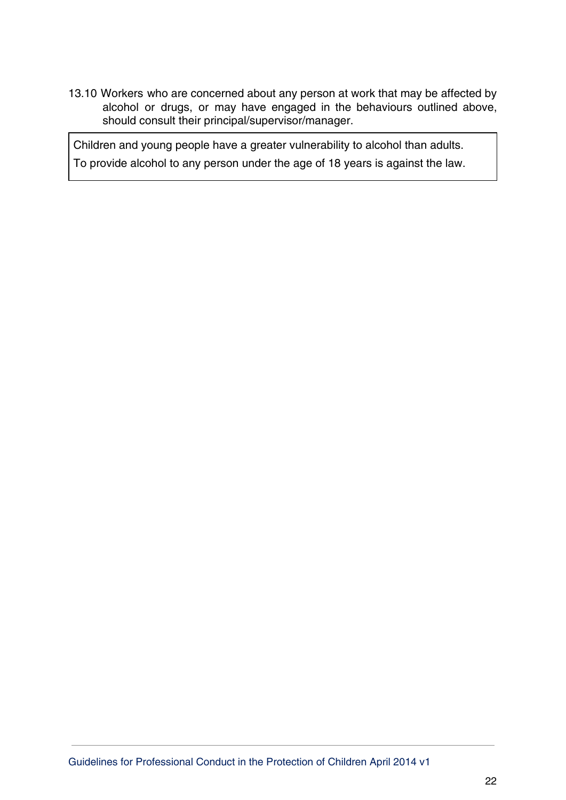13.10 Workers who are concerned about any person at work that may be affected by alcohol or drugs, or may have engaged in the behaviours outlined above, should consult their principal/supervisor/manager.

Children and young people have a greater vulnerability to alcohol than adults. To provide alcohol to any person under the age of 18 years is against the law.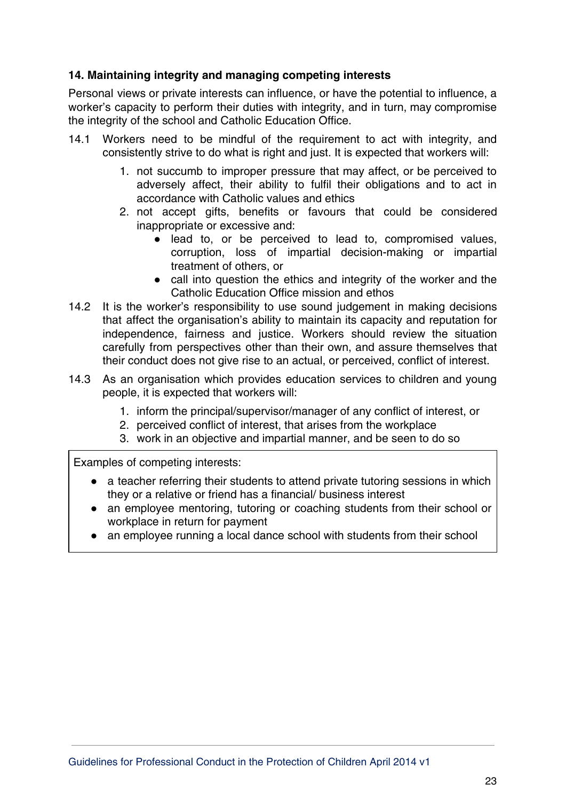## **14. Maintaining integrity and managing competing interests**

Personal views or private interests can influence, or have the potential to influence, a worker's capacity to perform their duties with integrity, and in turn, may compromise the integrity of the school and Catholic Education Office.

- 14.1 Workers need to be mindful of the requirement to act with integrity, and consistently strive to do what is right and just. It is expected that workers will:
	- 1. not succumb to improper pressure that may affect, or be perceived to adversely affect, their ability to fulfil their obligations and to act in accordance with Catholic values and ethics
	- 2. not accept gifts, benefits or favours that could be considered inappropriate or excessive and:
		- lead to, or be perceived to lead to, compromised values, corruption, loss of impartial decision-making or impartial treatment of others, or
		- call into question the ethics and integrity of the worker and the Catholic Education Office mission and ethos
- 14.2 It is the worker's responsibility to use sound judgement in making decisions that affect the organisation's ability to maintain its capacity and reputation for independence, fairness and justice. Workers should review the situation carefully from perspectives other than their own, and assure themselves that their conduct does not give rise to an actual, or perceived, conflict of interest.
- 14.3 As an organisation which provides education services to children and young people, it is expected that workers will:
	- 1. inform the principal/supervisor/manager of any conflict of interest, or
	- 2. perceived conflict of interest, that arises from the workplace
	- 3. work in an objective and impartial manner, and be seen to do so

Examples of competing interests:

- a teacher referring their students to attend private tutoring sessions in which they or a relative or friend has a financial/ business interest
- an employee mentoring, tutoring or coaching students from their school or workplace in return for payment
- an employee running a local dance school with students from their school